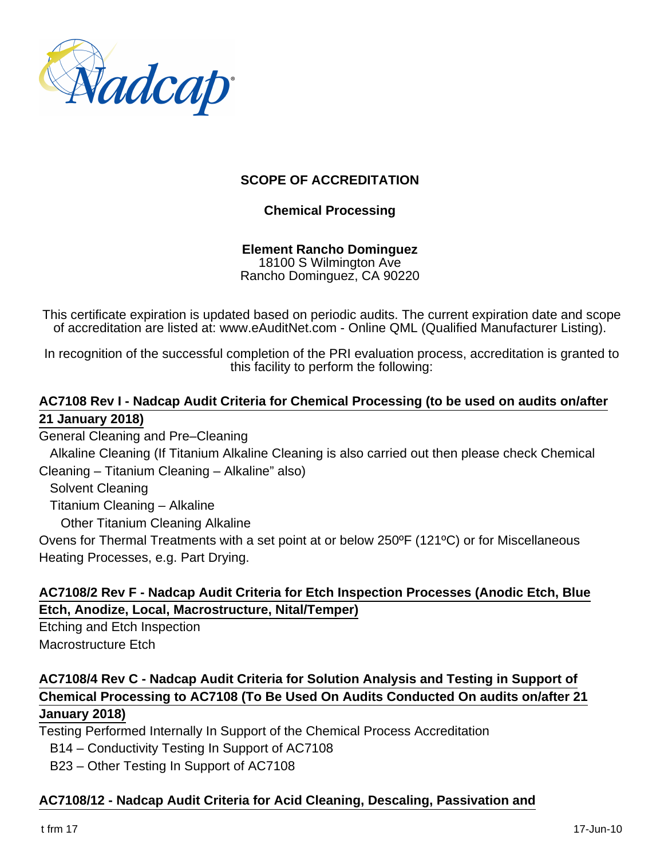

## **SCOPE OF ACCREDITATION**

#### **Chemical Processing**

#### **Element Rancho Dominguez** 18100 S Wilmington Ave Rancho Dominguez, CA 90220

This certificate expiration is updated based on periodic audits. The current expiration date and scope of accreditation are listed at: www.eAuditNet.com - Online QML (Qualified Manufacturer Listing).

In recognition of the successful completion of the PRI evaluation process, accreditation is granted to this facility to perform the following:

#### **AC7108 Rev I - Nadcap Audit Criteria for Chemical Processing (to be used on audits on/after 21 January 2018)**

General Cleaning and Pre–Cleaning

 Alkaline Cleaning (If Titanium Alkaline Cleaning is also carried out then please check Chemical Cleaning – Titanium Cleaning – Alkaline" also)

Solvent Cleaning

Titanium Cleaning – Alkaline

Other Titanium Cleaning Alkaline

Ovens for Thermal Treatments with a set point at or below 250ºF (121ºC) or for Miscellaneous Heating Processes, e.g. Part Drying.

# **AC7108/2 Rev F - Nadcap Audit Criteria for Etch Inspection Processes (Anodic Etch, Blue Etch, Anodize, Local, Macrostructure, Nital/Temper)**

Etching and Etch Inspection Macrostructure Etch

# **AC7108/4 Rev C - Nadcap Audit Criteria for Solution Analysis and Testing in Support of Chemical Processing to AC7108 (To Be Used On Audits Conducted On audits on/after 21 January 2018)**

Testing Performed Internally In Support of the Chemical Process Accreditation

B14 – Conductivity Testing In Support of AC7108

B23 – Other Testing In Support of AC7108

# **AC7108/12 - Nadcap Audit Criteria for Acid Cleaning, Descaling, Passivation and**